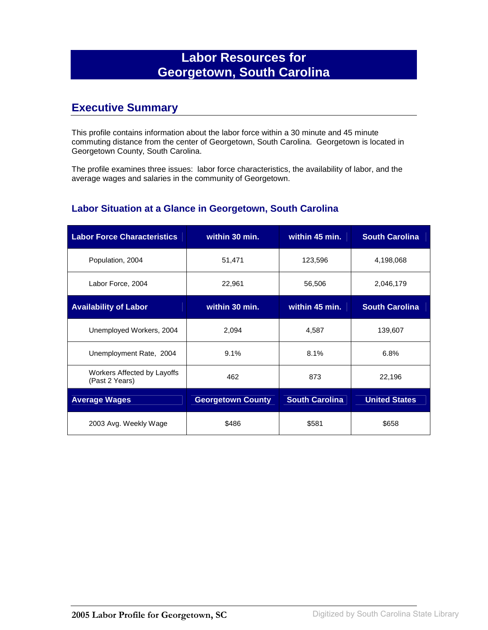# **Labor Resources for Georgetown, South Carolina**

### **Executive Summary**

This profile contains information about the labor force within a 30 minute and 45 minute commuting distance from the center of Georgetown, South Carolina. Georgetown is located in Georgetown County, South Carolina.

The profile examines three issues: labor force characteristics, the availability of labor, and the average wages and salaries in the community of Georgetown.

#### **Labor Situation at a Glance in Georgetown, South Carolina**

| <b>Labor Force Characteristics</b>            | within 30 min.           | within 45 min.        | <b>South Carolina</b> |
|-----------------------------------------------|--------------------------|-----------------------|-----------------------|
| Population, 2004                              | 51,471                   | 123,596               | 4,198,068             |
| Labor Force, 2004                             | 22,961                   | 56,506                | 2,046,179             |
| <b>Availability of Labor</b>                  | within 30 min.           | within 45 min.        | <b>South Carolina</b> |
| Unemployed Workers, 2004                      | 2,094                    | 4,587                 | 139,607               |
| Unemployment Rate, 2004                       | 9.1%                     | 8.1%                  | 6.8%                  |
| Workers Affected by Layoffs<br>(Past 2 Years) | 462                      | 873                   | 22,196                |
| <b>Average Wages</b>                          | <b>Georgetown County</b> | <b>South Carolina</b> | <b>United States</b>  |
| 2003 Avg. Weekly Wage                         | \$486                    | \$581                 | \$658                 |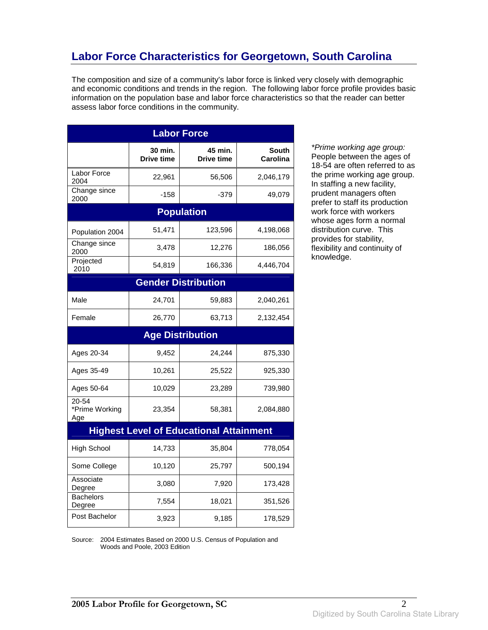### **Labor Force Characteristics for Georgetown, South Carolina**

The composition and size of a community's labor force is linked very closely with demographic and economic conditions and trends in the region. The following labor force profile provides basic information on the population base and labor force characteristics so that the reader can better assess labor force conditions in the community.

| <b>Labor Force</b>             |                              |                                                |                                 |
|--------------------------------|------------------------------|------------------------------------------------|---------------------------------|
|                                | 30 min.<br><b>Drive time</b> | 45 min.<br><b>Drive time</b>                   | <b>South</b><br><b>Carolina</b> |
| Labor Force<br>2004            | 22,961                       | 56,506                                         | 2,046,179                       |
| Change since<br>2000           | $-158$                       | -379                                           | 49,079                          |
|                                |                              | <b>Population</b>                              |                                 |
| Population 2004                | 51,471                       | 123,596                                        | 4,198,068                       |
| Change since<br>2000           | 3,478                        | 12,276                                         | 186,056                         |
| Projected<br>2010              | 54,819                       | 166,336                                        | 4,446,704                       |
|                                |                              | <b>Gender Distribution</b>                     |                                 |
| Male                           | 24,701                       | 59,883                                         | 2,040,261                       |
| Female                         | 26,770                       | 63,713                                         | 2,132,454                       |
|                                |                              | <b>Age Distribution</b>                        |                                 |
| Ages 20-34                     | 9,452                        | 24,244                                         | 875,330                         |
| Ages 35-49                     | 10,261                       | 25,522                                         | 925,330                         |
| Ages 50-64                     | 10,029                       | 23,289                                         | 739,980                         |
| 20-54<br>*Prime Working<br>Age | 23,354                       | 58,381                                         | 2,084,880                       |
|                                |                              | <b>Highest Level of Educational Attainment</b> |                                 |
| <b>High School</b>             | 14,733                       | 35,804                                         | 778,054                         |
| Some College                   | 10,120                       | 25,797                                         | 500,194                         |
| Associate<br>Degree            | 3,080                        | 7,920                                          | 173,428                         |
| <b>Bachelors</b><br>Degree     | 7,554                        | 18,021                                         | 351,526                         |
| Post Bachelor                  | 3,923                        | 9,185                                          | 178,529                         |

\*Prime working age group: People between the ages of 18-54 are often referred to as the prime working age group. In staffing a new facility, prudent managers often prefer to staff its production work force with workers whose ages form a normal distribution curve. This provides for stability, flexibility and continuity of knowledge.

Source: 2004 Estimates Based on 2000 U.S. Census of Population and Woods and Poole, 2003 Edition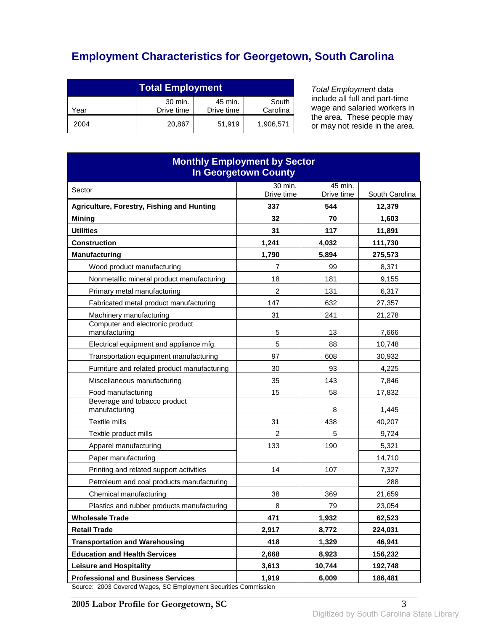# **Employment Characteristics for Georgetown, South Carolina**

| <b>Total Employment</b>                                                     |        |        |           |
|-----------------------------------------------------------------------------|--------|--------|-----------|
| 30 min.<br>South<br>45 min.<br>Carolina<br>Drive time<br>Drive time<br>Year |        |        |           |
| 2004                                                                        | 20.867 | 51.919 | 1,906,571 |

Total Employment data include all full and part-time wage and salaried workers in the area. These people may or may not reside in the area.

| <b>Monthly Employment by Sector</b><br><b>In Georgetown County</b> |                |            |                   |
|--------------------------------------------------------------------|----------------|------------|-------------------|
| Sector                                                             | 30 min.        | 45 min.    |                   |
|                                                                    | Drive time     | Drive time | South Carolina    |
| Agriculture, Forestry, Fishing and Hunting                         | 337<br>32      | 544<br>70  | 12,379            |
| <b>Mining</b><br><b>Utilities</b>                                  | 31             | 117        | 1,603             |
| <b>Construction</b>                                                | 1,241          | 4,032      | 11,891<br>111,730 |
| <b>Manufacturing</b>                                               | 1,790          | 5,894      | 275,573           |
| Wood product manufacturing                                         | 7              | 99         | 8,371             |
| Nonmetallic mineral product manufacturing                          | 18             | 181        | 9,155             |
|                                                                    | $\overline{c}$ | 131        | 6,317             |
| Primary metal manufacturing                                        |                |            |                   |
| Fabricated metal product manufacturing                             | 147            | 632        | 27,357            |
| Machinery manufacturing<br>Computer and electronic product         | 31<br>5        | 241<br>13  | 21,278            |
| manufacturing                                                      | 5              | 88         | 7,666             |
| Electrical equipment and appliance mfg.                            | 97             |            | 10,748            |
| Transportation equipment manufacturing                             |                | 608        | 30,932            |
| Furniture and related product manufacturing                        | 30<br>35       | 93<br>143  | 4,225<br>7,846    |
| Miscellaneous manufacturing<br>Food manufacturing                  | 15             | 58         |                   |
| Beverage and tobacco product<br>manufacturing                      |                | 8          | 17,832<br>1,445   |
| Textile mills                                                      | 31             | 438        | 40,207            |
| Textile product mills                                              | 2              | 5          | 9,724             |
| Apparel manufacturing                                              | 133            | 190        | 5,321             |
| Paper manufacturing                                                |                |            | 14,710            |
| Printing and related support activities                            | 14             | 107        | 7,327             |
| Petroleum and coal products manufacturing                          |                |            | 288               |
| Chemical manufacturing                                             | 38             | 369        | 21,659            |
| Plastics and rubber products manufacturing                         | 8              | 79         | 23,054            |
| <b>Wholesale Trade</b>                                             | 471            | 1,932      | 62,523            |
| <b>Retail Trade</b>                                                | 2,917          | 8,772      | 224,031           |
| <b>Transportation and Warehousing</b>                              | 418            | 1,329      | 46,941            |
| <b>Education and Health Services</b>                               | 2,668          | 8,923      | 156,232           |
| <b>Leisure and Hospitality</b>                                     | 3,613          | 10,744     | 192,748           |
| <b>Professional and Business Services</b>                          | 1,919          | 6,009      | 186,481           |

Source: 2003 Covered Wages, SC Employment Securities Commission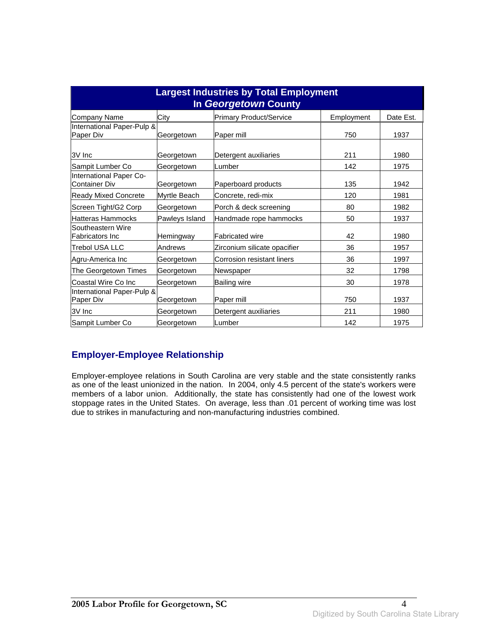| <b>Largest Industries by Total Employment</b><br>In Georgetown County |                |                                |            |           |
|-----------------------------------------------------------------------|----------------|--------------------------------|------------|-----------|
| Company Name                                                          | City           | <b>Primary Product/Service</b> | Employment | Date Est. |
| International Paper-Pulp &<br>Paper Div                               | Georgetown     | Paper mill                     | 750        | 1937      |
| 3V Inc                                                                | Georgetown     | Detergent auxiliaries          | 211        | 1980      |
| Sampit Lumber Co                                                      | Georgetown     | Lumber                         | 142        | 1975      |
| International Paper Co-<br><b>Container Div</b>                       | Georgetown     | Paperboard products            | 135        | 1942      |
| <b>Ready Mixed Concrete</b>                                           | Myrtle Beach   | Concrete, redi-mix             | 120        | 1981      |
| Screen Tight/G2 Corp                                                  | Georgetown     | Porch & deck screening         | 80         | 1982      |
| Hatteras Hammocks                                                     | Pawleys Island | Handmade rope hammocks         | 50         | 1937      |
| Southeastern Wire<br><b>Fabricators Inc</b>                           | Hemingway      | <b>Fabricated wire</b>         | 42         | 1980      |
| <b>Trebol USA LLC</b>                                                 | Andrews        | Zirconium silicate opacifier   | 36         | 1957      |
| Agru-America Inc                                                      | Georgetown     | Corrosion resistant liners     | 36         | 1997      |
| The Georgetown Times                                                  | Georgetown     | Newspaper                      | 32         | 1798      |
| Coastal Wire Co Inc                                                   | Georgetown     | Bailing wire                   | 30         | 1978      |
| International Paper-Pulp &<br>Paper Div                               | Georgetown     | Paper mill                     | 750        | 1937      |
| 3V Inc                                                                | Georgetown     | Detergent auxiliaries          | 211        | 1980      |
| Sampit Lumber Co                                                      | Georgetown     | Lumber                         | 142        | 1975      |

#### **Employer-Employee Relationship**

Employer-employee relations in South Carolina are very stable and the state consistently ranks as one of the least unionized in the nation. In 2004, only 4.5 percent of the state's workers were members of a labor union. Additionally, the state has consistently had one of the lowest work stoppage rates in the United States. On average, less than .01 percent of working time was lost due to strikes in manufacturing and non-manufacturing industries combined.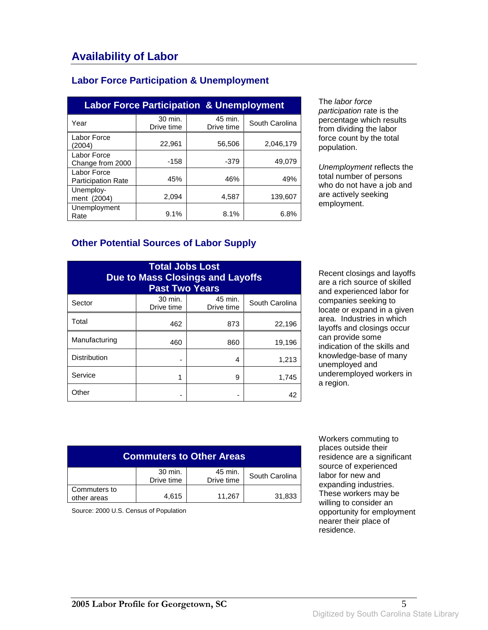#### **Labor Force Participation & Unemployment**

| <b>Labor Force Participation &amp; Unemployment</b> |                       |                       |                |  |
|-----------------------------------------------------|-----------------------|-----------------------|----------------|--|
| Year                                                | 30 min.<br>Drive time | 45 min.<br>Drive time | South Carolina |  |
| Labor Force<br>(2004)                               | 22,961                | 56,506                | 2,046,179      |  |
| Labor Force<br>Change from 2000                     | $-158$                | $-379$                | 49.079         |  |
| Labor Force<br><b>Participation Rate</b>            | 45%                   | 46%                   | 49%            |  |
| Unemploy-<br>ment (2004)                            | 2,094                 | 4,587                 | 139,607        |  |
| Unemployment<br>Rate                                | 9.1%                  | 8.1%                  | 6.8%           |  |

The labor force participation rate is the percentage which results from dividing the labor force count by the total population.

Unemployment reflects the total number of persons who do not have a job and are actively seeking employment.

#### **Other Potential Sources of Labor Supply**

| <b>Total Jobs Lost</b><br><b>Due to Mass Closings and Layoffs</b><br><b>Past Two Years</b> |                       |                       |                |
|--------------------------------------------------------------------------------------------|-----------------------|-----------------------|----------------|
| Sector                                                                                     | 30 min.<br>Drive time | 45 min.<br>Drive time | South Carolina |
| Total                                                                                      | 462                   | 873                   | 22,196         |
| Manufacturing                                                                              | 460                   | 860                   | 19,196         |
| <b>Distribution</b>                                                                        |                       | 4                     | 1,213          |
| Service                                                                                    | 1                     | 9                     | 1,745          |
| Other                                                                                      |                       |                       | 42             |

Recent closings and layoffs are a rich source of skilled and experienced labor for companies seeking to locate or expand in a given area. Industries in which layoffs and closings occur can provide some indication of the skills and knowledge-base of many unemployed and underemployed workers in a region.

| <b>Commuters to Other Areas</b> |                       |                       |                |
|---------------------------------|-----------------------|-----------------------|----------------|
|                                 | 30 min.<br>Drive time | 45 min.<br>Drive time | South Carolina |
| Commuters to<br>other areas     | 4.615                 | 11,267                | 31,833         |

Source: 2000 U.S. Census of Population

 Workers commuting to places outside their residence are a significant source of experienced labor for new and expanding industries. These workers may be willing to consider an opportunity for employment nearer their place of residence.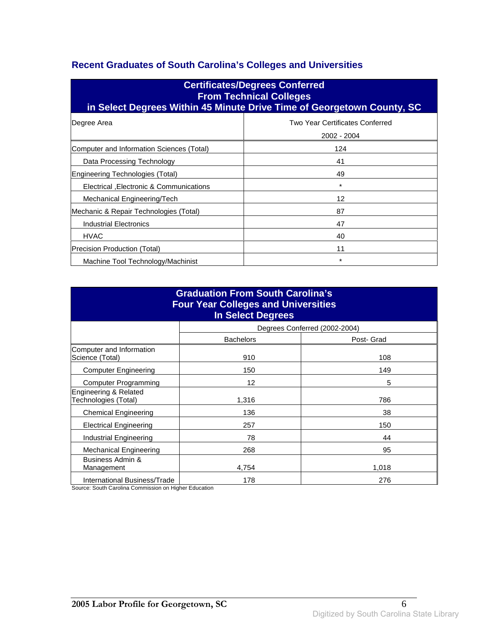### **Recent Graduates of South Carolina's Colleges and Universities**

| <b>Certificates/Degrees Conferred</b><br><b>From Technical Colleges</b><br>in Select Degrees Within 45 Minute Drive Time of Georgetown County, SC |                                                |  |  |
|---------------------------------------------------------------------------------------------------------------------------------------------------|------------------------------------------------|--|--|
| Degree Area                                                                                                                                       | Two Year Certificates Conferred<br>2002 - 2004 |  |  |
| Computer and Information Sciences (Total)                                                                                                         | 124                                            |  |  |
| Data Processing Technology                                                                                                                        | 41                                             |  |  |
| Engineering Technologies (Total)                                                                                                                  | 49                                             |  |  |
| Electrical , Electronic & Communications                                                                                                          | $\ast$                                         |  |  |
| Mechanical Engineering/Tech                                                                                                                       | 12                                             |  |  |
| Mechanic & Repair Technologies (Total)                                                                                                            | 87                                             |  |  |
| <b>Industrial Electronics</b>                                                                                                                     | 47                                             |  |  |
| <b>HVAC</b>                                                                                                                                       | 40                                             |  |  |
| 11<br>Precision Production (Total)                                                                                                                |                                                |  |  |
| Machine Tool Technology/Machinist                                                                                                                 | $^\star$                                       |  |  |

| <b>Graduation From South Carolina's</b><br><b>Four Year Colleges and Universities</b><br><b>In Select Degrees</b> |                  |                               |  |
|-------------------------------------------------------------------------------------------------------------------|------------------|-------------------------------|--|
|                                                                                                                   |                  | Degrees Conferred (2002-2004) |  |
|                                                                                                                   | <b>Bachelors</b> | Post- Grad                    |  |
| Computer and Information<br>Science (Total)                                                                       | 910              | 108                           |  |
| <b>Computer Engineering</b>                                                                                       | 150              | 149                           |  |
| <b>Computer Programming</b>                                                                                       | 12               | 5                             |  |
| Engineering & Related<br>Technologies (Total)                                                                     | 1,316            | 786                           |  |
| <b>Chemical Engineering</b>                                                                                       | 136              | 38                            |  |
| <b>Electrical Engineering</b>                                                                                     | 257              | 150                           |  |
| Industrial Engineering                                                                                            | 78               | 44                            |  |
| <b>Mechanical Engineering</b>                                                                                     | 268              | 95                            |  |
| Business Admin &<br>Management                                                                                    | 4.754            | 1,018                         |  |
| International Business/Trade                                                                                      | 178              | 276                           |  |

Source: South Carolina Commission on Higher Education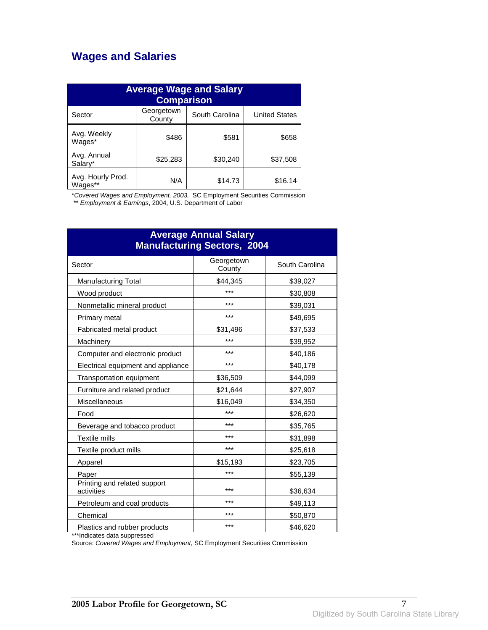### **Wages and Salaries**

| <b>Average Wage and Salary</b><br><b>Comparison</b> |                      |                |                      |
|-----------------------------------------------------|----------------------|----------------|----------------------|
| Sector                                              | Georgetown<br>County | South Carolina | <b>United States</b> |
| Avg. Weekly<br>Wages*                               | \$486                | \$581          | \$658                |
| Avg. Annual<br>Salary*                              | \$25,283             | \$30,240       | \$37,508             |
| Avg. Hourly Prod.<br>Wages**                        | N/A                  | \$14.73        | \$16.14              |

\*Covered Wages and Employment, 2003, SC Employment Securities Commission

\*\* Employment & Earnings, 2004, U.S. Department of Labor

| <b>Average Annual Salary</b><br><b>Manufacturing Sectors, 2004</b> |                      |                |
|--------------------------------------------------------------------|----------------------|----------------|
| Sector                                                             | Georgetown<br>County | South Carolina |
| <b>Manufacturing Total</b>                                         | \$44,345             | \$39,027       |
| Wood product                                                       | ***                  | \$30,808       |
| Nonmetallic mineral product                                        | ***                  | \$39,031       |
| Primary metal                                                      | ***                  | \$49,695       |
| Fabricated metal product                                           | \$31,496             | \$37,533       |
| Machinery                                                          | ***                  | \$39,952       |
| Computer and electronic product                                    | ***                  | \$40,186       |
| Electrical equipment and appliance                                 | $***$                | \$40,178       |
| Transportation equipment                                           | \$36,509             | \$44,099       |
| Furniture and related product                                      | \$21,644             | \$27,907       |
| Miscellaneous                                                      | \$16,049             | \$34,350       |
| Food                                                               | ***                  | \$26,620       |
| Beverage and tobacco product                                       | ***                  | \$35,765       |
| Textile mills                                                      | ***                  | \$31,898       |
| Textile product mills                                              | ***                  | \$25,618       |
| Apparel                                                            | \$15,193             | \$23,705       |
| Paper                                                              | ***                  | \$55,139       |
| Printing and related support<br>activities                         | ***                  | \$36,634       |
| Petroleum and coal products                                        | ***                  | \$49,113       |
| Chemical                                                           | ***                  | \$50,870       |
| Plastics and rubber products                                       | ***                  | \$46,620       |

\*\*\*Indicates data suppressed

Source: Covered Wages and Employment, SC Employment Securities Commission